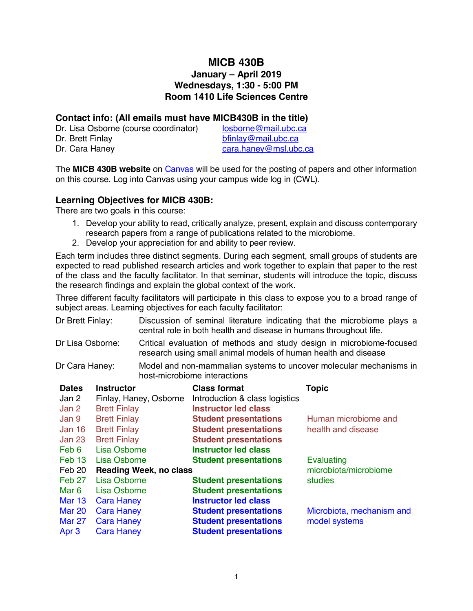# **MICB 430B**

## **January – April 2019 Wednesdays, 1:30 - 5:00 PM Room 1410 Life Sciences Centre**

#### **Contact info: (All emails must have MICB430B in the title)**

| Dr. Lisa Osborne (course coordinator) | losborn |
|---------------------------------------|---------|
| Dr. Brett Finlay                      | bfinlay |
| Dr. Cara Haney                        | cara.ha |

ne@mail.ubc.ca @mail.ubc.ca aney@msl.ubc.ca

The **MICB 430B website** on Canvas will be used for the posting of papers and other information on this course. Log into Canvas using your campus wide log in (CWL).

### **Learning Objectives for MICB 430B:**

There are two goals in this course:

- 1. Develop your ability to read, critically analyze, present, explain and discuss contemporary research papers from a range of publications related to the microbiome.
- 2. Develop your appreciation for and ability to peer review.

Each term includes three distinct segments. During each segment, small groups of students are expected to read published research articles and work together to explain that paper to the rest of the class and the faculty facilitator. In that seminar, students will introduce the topic, discuss the research findings and explain the global context of the work.

Three different faculty facilitators will participate in this class to expose you to a broad range of subject areas. Learning objectives for each faculty facilitator:

| Dr Brett Finlay: | Discussion of seminal literature indicating that the microbiome plays a |  |  |
|------------------|-------------------------------------------------------------------------|--|--|
|                  | central role in both health and disease in humans throughout life.      |  |  |

- Dr Lisa Osborne: Critical evaluation of methods and study design in microbiome-focused research using small animal models of human health and disease
- Dr Cara Haney: Model and non-mammalian systems to uncover molecular mechanisms in host-microbiome interactions

| <b>Dates</b><br>Jan 2 | <b>Instructor</b><br>Finlay, Haney, Osborne | <b>Class format</b><br>Introduction & class logistics | <u>Topic</u>              |
|-----------------------|---------------------------------------------|-------------------------------------------------------|---------------------------|
| Jan 2                 | <b>Brett Finlay</b>                         | <b>Instructor led class</b>                           |                           |
| Jan 9                 | <b>Brett Finlay</b>                         | <b>Student presentations</b>                          | Human microbiome and      |
| Jan 16                | <b>Brett Finlay</b>                         | <b>Student presentations</b>                          | health and disease        |
| Jan 23                | <b>Brett Finlay</b>                         | <b>Student presentations</b>                          |                           |
| Feb 6                 | Lisa Osborne                                | <b>Instructor led class</b>                           |                           |
| Feb 13                | Lisa Osborne                                | <b>Student presentations</b>                          | <b>Evaluating</b>         |
| Feb 20                | <b>Reading Week, no class</b>               |                                                       | microbiota/microbiome     |
| Feb 27                | Lisa Osborne                                | <b>Student presentations</b>                          | studies                   |
| Mar 6                 | Lisa Osborne                                | <b>Student presentations</b>                          |                           |
| <b>Mar 13</b>         | <b>Cara Haney</b>                           | <b>Instructor led class</b>                           |                           |
| <b>Mar 20</b>         | <b>Cara Haney</b>                           | <b>Student presentations</b>                          | Microbiota, mechanism and |
| <b>Mar 27</b>         | <b>Cara Haney</b>                           | <b>Student presentations</b>                          | model systems             |
| Apr <sub>3</sub>      | <b>Cara Haney</b>                           | <b>Student presentations</b>                          |                           |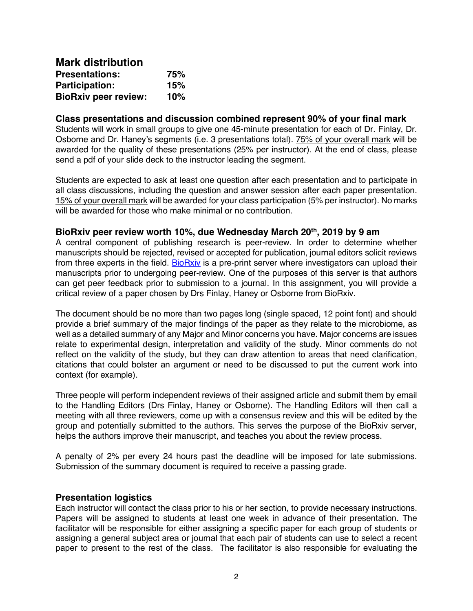| <b>Mark distribution</b>    |     |
|-----------------------------|-----|
| <b>Presentations:</b>       | 75% |
| <b>Participation:</b>       | 15% |
| <b>BioRxiv peer review:</b> | 10% |

#### **Class presentations and discussion combined represent 90% of your final mark**

Students will work in small groups to give one 45-minute presentation for each of Dr. Finlay, Dr. Osborne and Dr. Haney's segments (i.e. 3 presentations total). 75% of your overall mark will be awarded for the quality of these presentations (25% per instructor). At the end of class, please send a pdf of your slide deck to the instructor leading the segment.

Students are expected to ask at least one question after each presentation and to participate in all class discussions, including the question and answer session after each paper presentation. 15% of your overall mark will be awarded for your class participation (5% per instructor). No marks will be awarded for those who make minimal or no contribution

#### **BioRxiv peer review worth 10%, due Wednesday March 20th, 2019 by 9 am**

A central component of publishing research is peer-review. In order to determine whether manuscripts should be rejected, revised or accepted for publication, journal editors solicit reviews from three experts in the field. BioRxiv is a pre-print server where investigators can upload their manuscripts prior to undergoing peer-review. One of the purposes of this server is that authors can get peer feedback prior to submission to a journal. In this assignment, you will provide a critical review of a paper chosen by Drs Finlay, Haney or Osborne from BioRxiv.

The document should be no more than two pages long (single spaced, 12 point font) and should provide a brief summary of the major findings of the paper as they relate to the microbiome, as well as a detailed summary of any Major and Minor concerns you have. Major concerns are issues relate to experimental design, interpretation and validity of the study. Minor comments do not reflect on the validity of the study, but they can draw attention to areas that need clarification, citations that could bolster an argument or need to be discussed to put the current work into context (for example).

Three people will perform independent reviews of their assigned article and submit them by email to the Handling Editors (Drs Finlay, Haney or Osborne). The Handling Editors will then call a meeting with all three reviewers, come up with a consensus review and this will be edited by the group and potentially submitted to the authors. This serves the purpose of the BioRxiv server, helps the authors improve their manuscript, and teaches you about the review process.

A penalty of 2% per every 24 hours past the deadline will be imposed for late submissions. Submission of the summary document is required to receive a passing grade.

#### **Presentation logistics**

Each instructor will contact the class prior to his or her section, to provide necessary instructions. Papers will be assigned to students at least one week in advance of their presentation. The facilitator will be responsible for either assigning a specific paper for each group of students or assigning a general subject area or journal that each pair of students can use to select a recent paper to present to the rest of the class. The facilitator is also responsible for evaluating the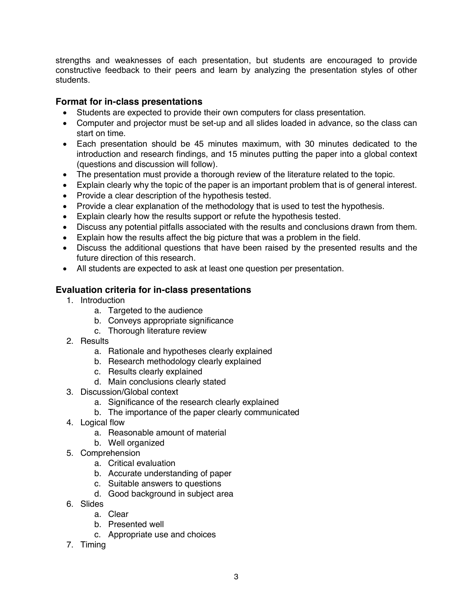strengths and weaknesses of each presentation, but students are encouraged to provide constructive feedback to their peers and learn by analyzing the presentation styles of other students.

### **Format for in-class presentations**

- Students are expected to provide their own computers for class presentation.
- Computer and projector must be set-up and all slides loaded in advance, so the class can start on time.
- Each presentation should be 45 minutes maximum, with 30 minutes dedicated to the introduction and research findings, and 15 minutes putting the paper into a global context (questions and discussion will follow).
- The presentation must provide a thorough review of the literature related to the topic.
- Explain clearly why the topic of the paper is an important problem that is of general interest.
- Provide a clear description of the hypothesis tested.
- Provide a clear explanation of the methodology that is used to test the hypothesis.
- Explain clearly how the results support or refute the hypothesis tested.
- Discuss any potential pitfalls associated with the results and conclusions drawn from them.
- Explain how the results affect the big picture that was a problem in the field.
- Discuss the additional questions that have been raised by the presented results and the future direction of this research.
- All students are expected to ask at least one question per presentation.

# **Evaluation criteria for in-class presentations**

- 1. Introduction
	- a. Targeted to the audience
	- b. Conveys appropriate significance
	- c. Thorough literature review
- 2. Results
	- a. Rationale and hypotheses clearly explained
	- b. Research methodology clearly explained
	- c. Results clearly explained
	- d. Main conclusions clearly stated
- 3. Discussion/Global context
	- a. Significance of the research clearly explained
	- b. The importance of the paper clearly communicated
- 4. Logical flow
	- a. Reasonable amount of material
	- b. Well organized
- 5. Comprehension
	- a. Critical evaluation
	- b. Accurate understanding of paper
	- c. Suitable answers to questions
	- d. Good background in subject area
- 6. Slides
	- a. Clear
	- b. Presented well
	- c. Appropriate use and choices
- 7. Timing